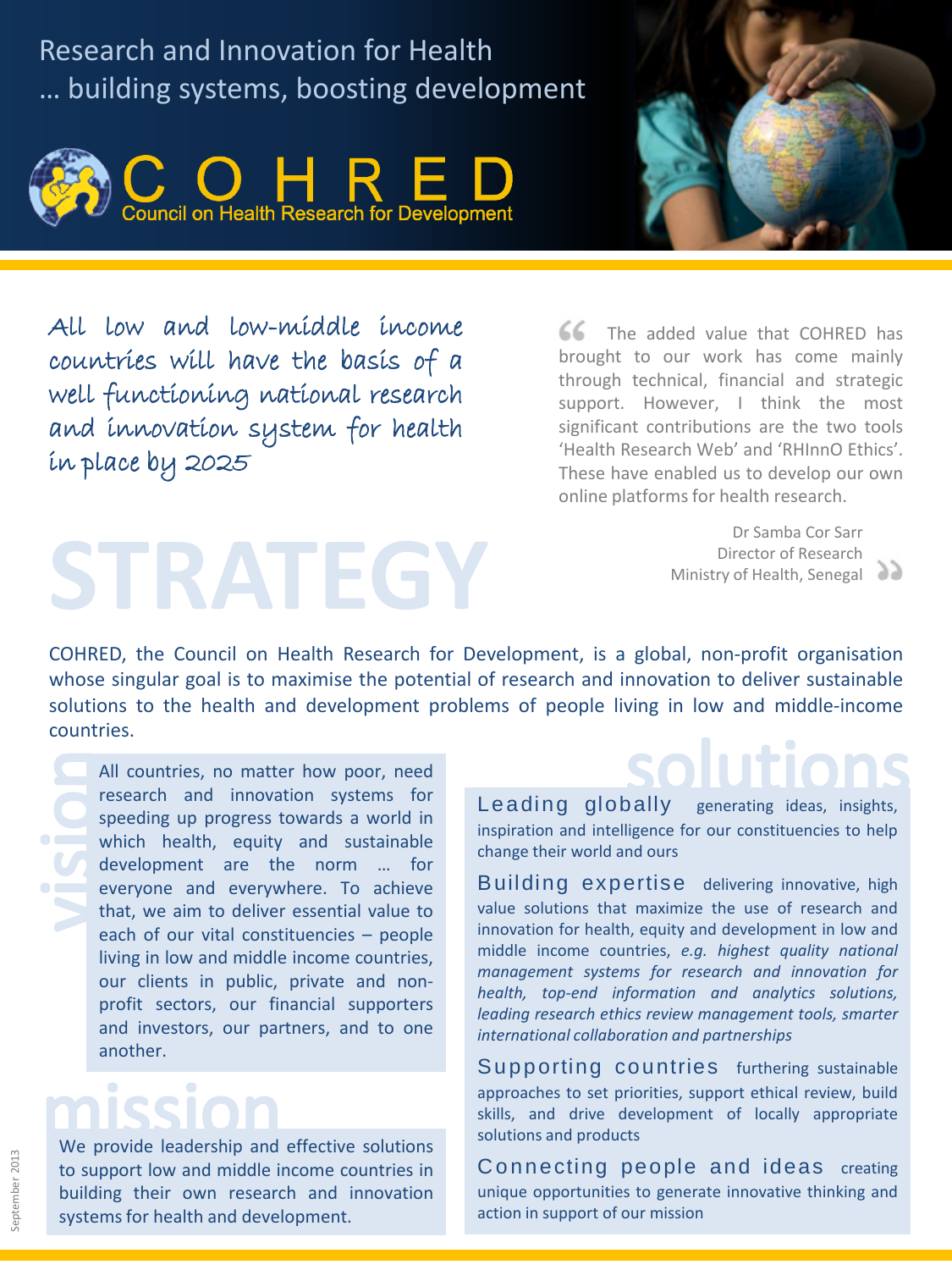Research and Innovation for Health … building systems, boosting development





All low and low-middle income countries will have the basis of a well functioning national research and innovation system for health in place by 2025

**STRATEGY**

 $66$  The added value that COHRED has brought to our work has come mainly through technical, financial and strategic support. However, I think the most significant contributions are the two tools 'Health Research Web' and 'RHInnO Ethics'. These have enabled us to develop our own online platformsfor health research.

> Dr Samba Cor Sarr Director of Research Ministry of Health, Senegal

COHRED, the Council on Health Research for Development, is a global, non-profit organisation whose singular goal is to maximise the potential of research and innovation to deliver sustainable solutions to the health and development problems of people living in low and middle-income countries.

All countries, no matter how poor, need research and innovation systems for speeding up progress towards a world in which health, equity and sustainable development are the norm … for everyone and everywhere. To achieve that, we aim to deliver essential value to each of our vital constituencies – people living in low and middle income countries, our clients in public, private and nonprofit sectors, our financial supporters and investors, our partners, and to one another.

## $\begin{array}{c} \bullet \\ \bullet \end{array}$  $\bullet$

We provide leadership and effective solutions to support low and middle income countries in building their own research and innovation systems for health and development.

Leading globally generating ideas, insights, inspiration and intelligence for our constituencies to help change their world and ours

Building expertise delivering innovative, high value solutions that maximize the use of research and innovation for health, equity and development in low and middle income countries, *e.g. highest quality national management systems for research and innovation for health, top-end information and analytics solutions, leading research ethics review management tools, smarter international collaboration and partnerships*

Supporting countries furthering sustainable approaches to set priorities, support ethical review, build skills, and drive development of locally appropriate solutions and products

Connecting people and ideas creating unique opportunities to generate innovative thinking and action in support of our mission